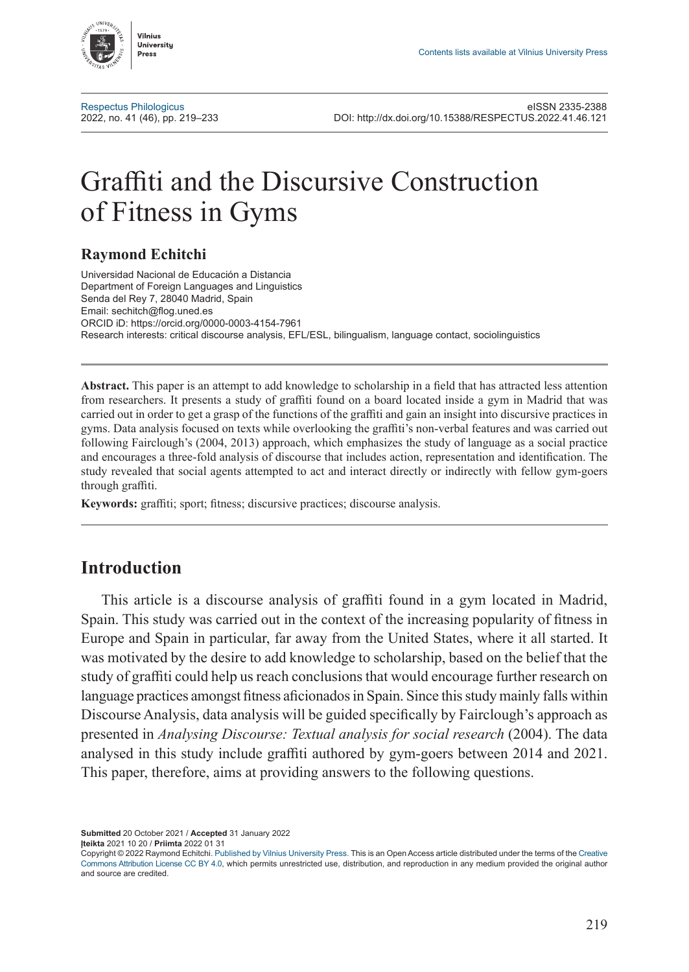

[Respectus Philologicus](http://www.zurnalai.vu.lt/respectus-philologicus) eISSN 2335-2388 2022, no. 41 (46), pp. 219–233 DOI: <http://dx.doi.org/10.15388/RESPECTUS.2022.41.46.121>

# Graffiti and the Discursive Construction of Fitness in Gyms

## **Raymond Echitchi**

Universidad Nacional de Educación a Distancia Department of Foreign Languages and Linguistics Senda del Rey 7, 28040 Madrid, Spain Email: sechitch@flog.uned.es ORCID iD: https://orcid.org/0000-0003-4154-7961 Research interests: critical discourse analysis, EFL/ESL, bilingualism, language contact, sociolinguistics

**Abstract.** This paper is an attempt to add knowledge to scholarship in a field that has attracted less attention from researchers. It presents a study of graffiti found on a board located inside a gym in Madrid that was carried out in order to get a grasp of the functions of the graffiti and gain an insight into discursive practices in gyms. Data analysis focused on texts while overlooking the graffiti's non-verbal features and was carried out following Fairclough's (2004, 2013) approach, which emphasizes the study of language as a social practice and encourages a three-fold analysis of discourse that includes action, representation and identification. The study revealed that social agents attempted to act and interact directly or indirectly with fellow gym-goers through graffiti.

**Keywords:** graffiti; sport; fitness; discursive practices; discourse analysis.

# **Introduction**

This article is a discourse analysis of graffiti found in a gym located in Madrid, Spain. This study was carried out in the context of the increasing popularity of fitness in Europe and Spain in particular, far away from the United States, where it all started. It was motivated by the desire to add knowledge to scholarship, based on the belief that the study of graffiti could help us reach conclusions that would encourage further research on language practices amongst fitness aficionados in Spain. Since this study mainly falls within Discourse Analysis, data analysis will be guided specifically by Fairclough's approach as presented in *Analysing Discourse: Textual analysis for social research* (2004). The data analysed in this study include graffiti authored by gym-goers between 2014 and 2021. This paper, therefore, aims at providing answers to the following questions.

**Submitted** 20 October 2021 / **Accepted** 31 January 2022 **Įteikta** 2021 10 20 / **Priimta** 2022 01 31

Copyright © 2022 Raymond Echitchi. Published by [Vilnius University Press.](https://www.vu.lt/leidyba/) This is an Open Access article distributed under the terms of the [Creative](https://creativecommons.org/licenses/by/4.0/) [Commons Attribution License CC BY 4.0](https://creativecommons.org/licenses/by/4.0/), which permits unrestricted use, distribution, and reproduction in any medium provided the original author and source are credited.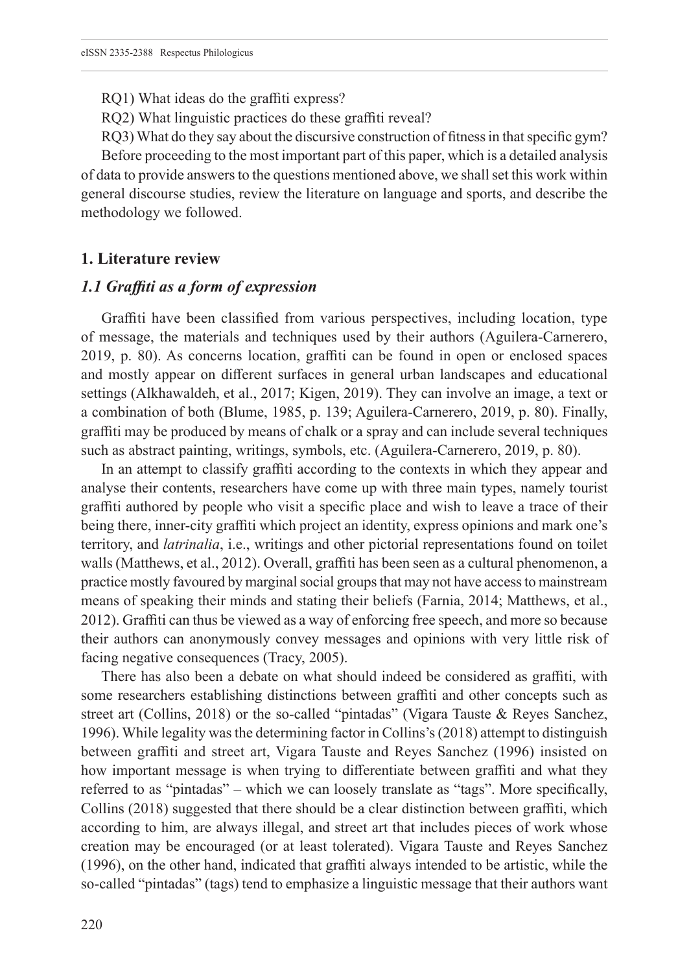RQ1) What ideas do the graffiti express?

RQ2) What linguistic practices do these graffiti reveal?

RQ3) What do they say about the discursive construction of fitness in that specific gym? Before proceeding to the most important part of this paper, which is a detailed analysis of data to provide answers to the questions mentioned above, we shall set this work within general discourse studies, review the literature on language and sports, and describe the methodology we followed.

#### **1. Literature review**

### *1.1 Graffiti as a form of expression*

Graffiti have been classified from various perspectives, including location, type of message, the materials and techniques used by their authors (Aguilera-Carnerero, 2019, p. 80). As concerns location, graffiti can be found in open or enclosed spaces and mostly appear on different surfaces in general urban landscapes and educational settings (Alkhawaldeh, et al., 2017; Kigen, 2019). They can involve an image, a text or a combination of both (Blume, 1985, p. 139; Aguilera-Carnerero, 2019, p. 80). Finally, graffiti may be produced by means of chalk or a spray and can include several techniques such as abstract painting, writings, symbols, etc. (Aguilera-Carnerero, 2019, p. 80).

In an attempt to classify graffiti according to the contexts in which they appear and analyse their contents, researchers have come up with three main types, namely tourist graffiti authored by people who visit a specific place and wish to leave a trace of their being there, inner-city graffiti which project an identity, express opinions and mark one's territory, and *latrinalia*, i.e., writings and other pictorial representations found on toilet walls (Matthews, et al., 2012). Overall, graffiti has been seen as a cultural phenomenon, a practice mostly favoured by marginal social groups that may not have access to mainstream means of speaking their minds and stating their beliefs (Farnia, 2014; Matthews, et al., 2012). Graffiti can thus be viewed as a way of enforcing free speech, and more so because their authors can anonymously convey messages and opinions with very little risk of facing negative consequences (Tracy, 2005).

There has also been a debate on what should indeed be considered as graffiti, with some researchers establishing distinctions between graffiti and other concepts such as street art (Collins, 2018) or the so-called "pintadas" (Vigara Tauste & Reyes Sanchez, 1996). While legality was the determining factor in Collins's (2018) attempt to distinguish between graffiti and street art, Vigara Tauste and Reyes Sanchez (1996) insisted on how important message is when trying to differentiate between graffiti and what they referred to as "pintadas" – which we can loosely translate as "tags". More specifically, Collins (2018) suggested that there should be a clear distinction between graffiti, which according to him, are always illegal, and street art that includes pieces of work whose creation may be encouraged (or at least tolerated). Vigara Tauste and Reyes Sanchez (1996), on the other hand, indicated that graffiti always intended to be artistic, while the so-called "pintadas" (tags) tend to emphasize a linguistic message that their authors want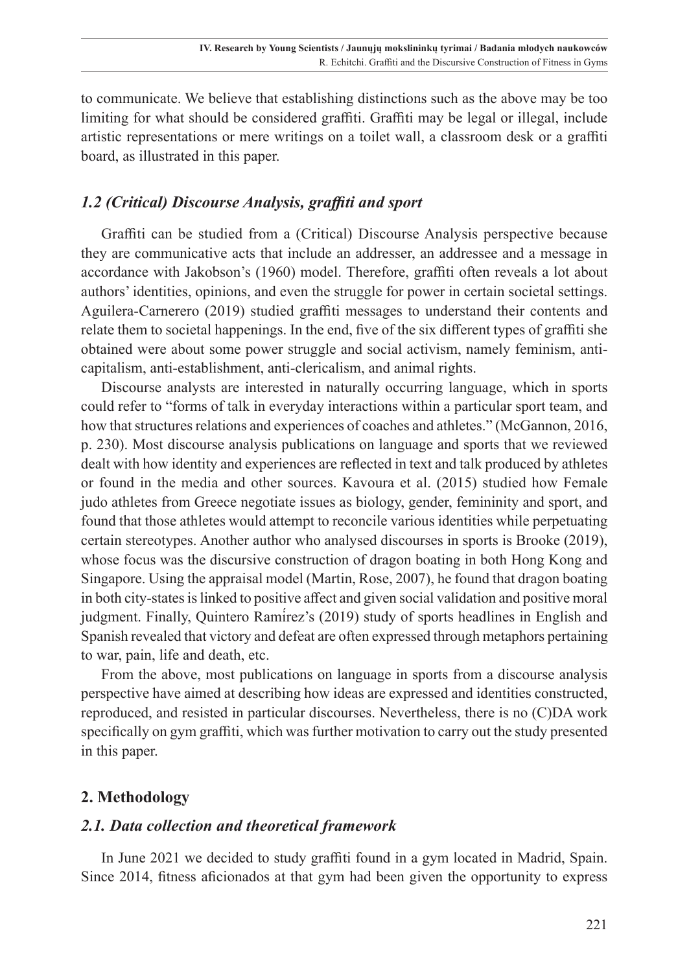to communicate. We believe that establishing distinctions such as the above may be too limiting for what should be considered graffiti. Graffiti may be legal or illegal, include artistic representations or mere writings on a toilet wall, a classroom desk or a graffiti board, as illustrated in this paper.

## *1.2 (Critical) Discourse Analysis, graffiti and sport*

Graffiti can be studied from a (Critical) Discourse Analysis perspective because they are communicative acts that include an addresser, an addressee and a message in accordance with Jakobson's (1960) model. Therefore, graffiti often reveals a lot about authors' identities, opinions, and even the struggle for power in certain societal settings. Aguilera-Carnerero (2019) studied graffiti messages to understand their contents and relate them to societal happenings. In the end, five of the six different types of graffiti she obtained were about some power struggle and social activism, namely feminism, anticapitalism, anti-establishment, anti-clericalism, and animal rights.

Discourse analysts are interested in naturally occurring language, which in sports could refer to "forms of talk in everyday interactions within a particular sport team, and how that structures relations and experiences of coaches and athletes." (McGannon, 2016, p. 230). Most discourse analysis publications on language and sports that we reviewed dealt with how identity and experiences are reflected in text and talk produced by athletes or found in the media and other sources. Kavoura et al. (2015) studied how Female judo athletes from Greece negotiate issues as biology, gender, femininity and sport, and found that those athletes would attempt to reconcile various identities while perpetuating certain stereotypes. Another author who analysed discourses in sports is Brooke (2019), whose focus was the discursive construction of dragon boating in both Hong Kong and Singapore. Using the appraisal model (Martin, Rose, 2007), he found that dragon boating in both city-states is linked to positive affect and given social validation and positive moral judgment. Finally, Quintero Ramírez's (2019) study of sports headlines in English and Spanish revealed that victory and defeat are often expressed through metaphors pertaining to war, pain, life and death, etc.

From the above, most publications on language in sports from a discourse analysis perspective have aimed at describing how ideas are expressed and identities constructed, reproduced, and resisted in particular discourses. Nevertheless, there is no (C)DA work specifically on gym graffiti, which was further motivation to carry out the study presented in this paper.

## **2. Methodology**

## *2.1. Data collection and theoretical framework*

In June 2021 we decided to study graffiti found in a gym located in Madrid, Spain. Since 2014, fitness aficionados at that gym had been given the opportunity to express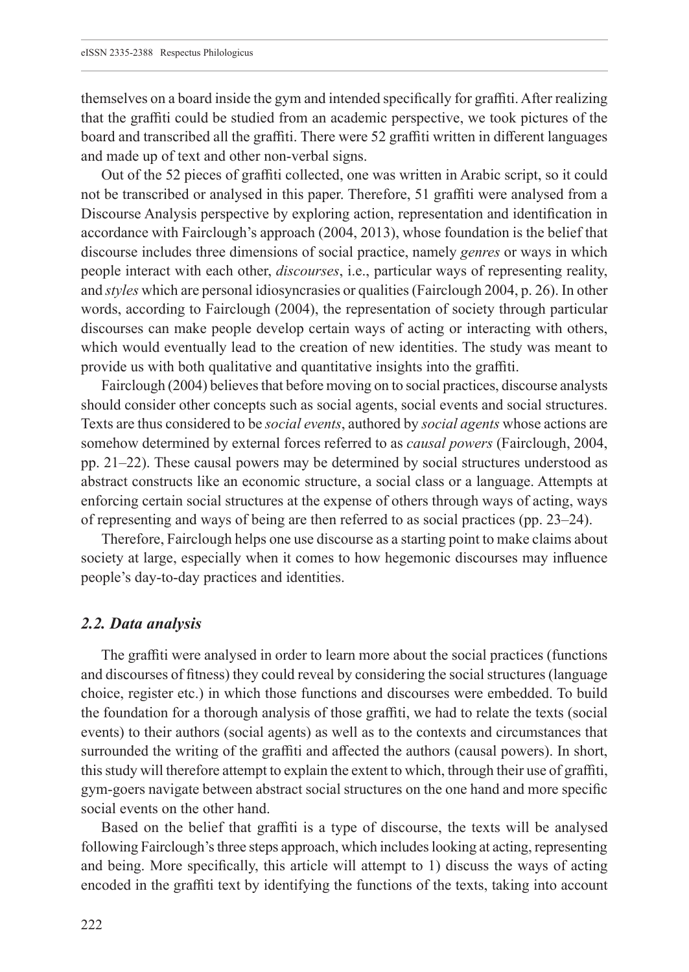themselves on a board inside the gym and intended specifically for graffiti. After realizing that the graffiti could be studied from an academic perspective, we took pictures of the board and transcribed all the graffiti. There were 52 graffiti written in different languages and made up of text and other non-verbal signs.

Out of the 52 pieces of graffiti collected, one was written in Arabic script, so it could not be transcribed or analysed in this paper. Therefore, 51 graffiti were analysed from a Discourse Analysis perspective by exploring action, representation and identification in accordance with Fairclough's approach (2004, 2013), whose foundation is the belief that discourse includes three dimensions of social practice, namely *genres* or ways in which people interact with each other, *discourses*, i.e., particular ways of representing reality, and *styles* which are personal idiosyncrasies or qualities (Fairclough 2004, p. 26). In other words, according to Fairclough (2004), the representation of society through particular discourses can make people develop certain ways of acting or interacting with others, which would eventually lead to the creation of new identities. The study was meant to provide us with both qualitative and quantitative insights into the graffiti.

Fairclough (2004) believes that before moving on to social practices, discourse analysts should consider other concepts such as social agents, social events and social structures. Texts are thus considered to be *social events*, authored by *social agents* whose actions are somehow determined by external forces referred to as *causal powers* (Fairclough, 2004, pp. 21–22). These causal powers may be determined by social structures understood as abstract constructs like an economic structure, a social class or a language. Attempts at enforcing certain social structures at the expense of others through ways of acting, ways of representing and ways of being are then referred to as social practices (pp. 23–24).

Therefore, Fairclough helps one use discourse as a starting point to make claims about society at large, especially when it comes to how hegemonic discourses may influence people's day-to-day practices and identities.

#### *2.2. Data analysis*

The graffiti were analysed in order to learn more about the social practices (functions and discourses of fitness) they could reveal by considering the social structures (language choice, register etc.) in which those functions and discourses were embedded. To build the foundation for a thorough analysis of those graffiti, we had to relate the texts (social events) to their authors (social agents) as well as to the contexts and circumstances that surrounded the writing of the graffiti and affected the authors (causal powers). In short, this study will therefore attempt to explain the extent to which, through their use of graffiti, gym-goers navigate between abstract social structures on the one hand and more specific social events on the other hand.

Based on the belief that graffiti is a type of discourse, the texts will be analysed following Fairclough's three steps approach, which includes looking at acting, representing and being. More specifically, this article will attempt to 1) discuss the ways of acting encoded in the graffiti text by identifying the functions of the texts, taking into account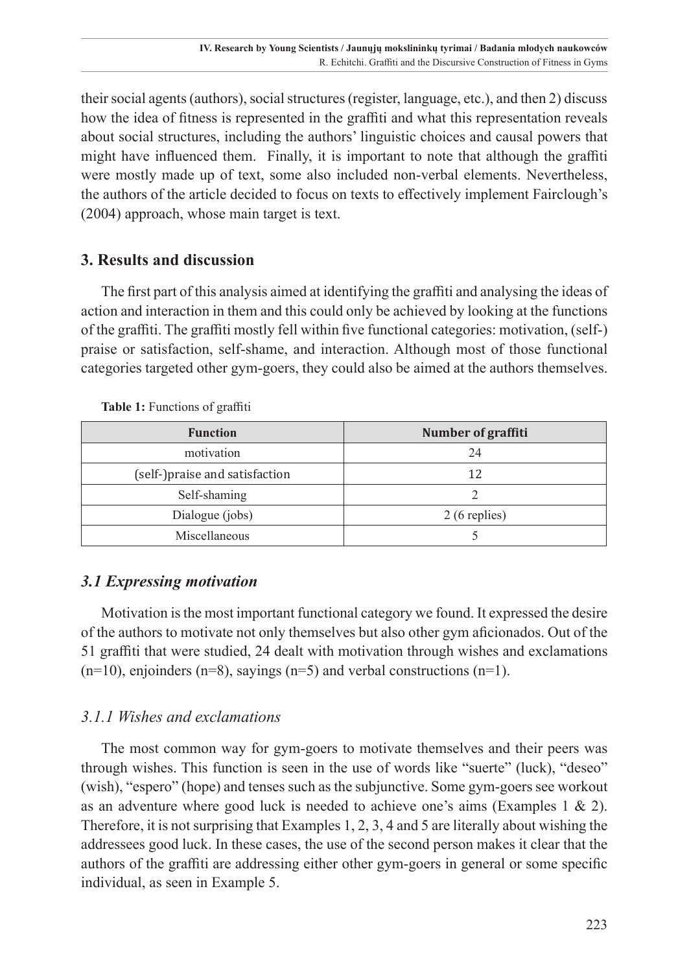their social agents (authors), social structures (register, language, etc.), and then 2) discuss how the idea of fitness is represented in the graffiti and what this representation reveals about social structures, including the authors' linguistic choices and causal powers that might have influenced them. Finally, it is important to note that although the graffiti were mostly made up of text, some also included non-verbal elements. Nevertheless, the authors of the article decided to focus on texts to effectively implement Fairclough's (2004) approach, whose main target is text.

## **3. Results and discussion**

The first part of this analysis aimed at identifying the graffiti and analysing the ideas of action and interaction in them and this could only be achieved by looking at the functions of the graffiti. The graffiti mostly fell within five functional categories: motivation, (self-) praise or satisfaction, self-shame, and interaction. Although most of those functional categories targeted other gym-goers, they could also be aimed at the authors themselves.

| <b>Function</b>                | Number of graffiti |
|--------------------------------|--------------------|
| motivation                     | 24                 |
| (self-)praise and satisfaction | 12                 |
| Self-shaming                   |                    |
| Dialogue (jobs)                | 2 (6 replies)      |
| Miscellaneous                  |                    |

**Table 1:** Functions of graffiti

# *3.1 Expressing motivation*

Motivation is the most important functional category we found. It expressed the desire of the authors to motivate not only themselves but also other gym aficionados. Out of the 51 graffiti that were studied, 24 dealt with motivation through wishes and exclamations  $(n=10)$ , enjoinders  $(n=8)$ , sayings  $(n=5)$  and verbal constructions  $(n=1)$ .

# *3.1.1 Wishes and exclamations*

The most common way for gym-goers to motivate themselves and their peers was through wishes. This function is seen in the use of words like "suerte" (luck), "deseo" (wish), "espero" (hope) and tenses such as the subjunctive. Some gym-goers see workout as an adventure where good luck is needed to achieve one's aims (Examples 1  $\&$  2). Therefore, it is not surprising that Examples 1, 2, 3, 4 and 5 are literally about wishing the addressees good luck. In these cases, the use of the second person makes it clear that the authors of the graffiti are addressing either other gym-goers in general or some specific individual, as seen in Example 5.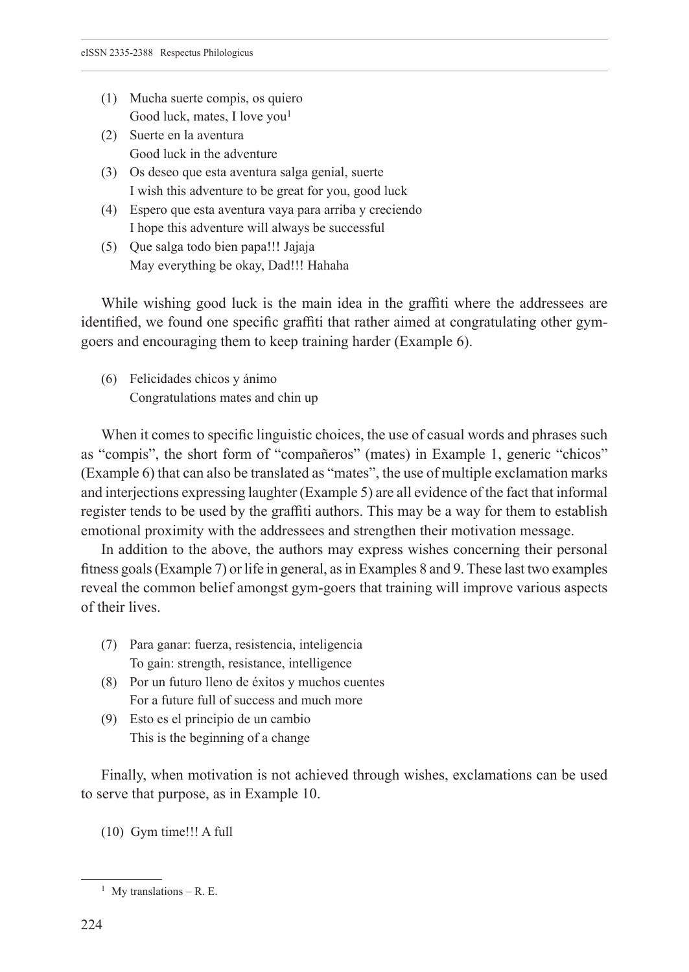- (1) Mucha suerte compis, os quiero Good luck, mates, I love you<sup>1</sup>
- (2) Suerte en la aventura Good luck in the adventure
- (3) Os deseo que esta aventura salga genial, suerte I wish this adventure to be great for you, good luck
- (4) Espero que esta aventura vaya para arriba y creciendo I hope this adventure will always be successful
- (5) Que salga todo bien papa!!! Jajaja May everything be okay, Dad!!! Hahaha

While wishing good luck is the main idea in the graffiti where the addressees are identified, we found one specific graffiti that rather aimed at congratulating other gymgoers and encouraging them to keep training harder (Example 6).

(6) Felicidades chicos y ánimo Congratulations mates and chin up

When it comes to specific linguistic choices, the use of casual words and phrases such as "compis", the short form of "compañeros" (mates) in Example 1, generic "chicos" (Example 6) that can also be translated as "mates", the use of multiple exclamation marks and interjections expressing laughter (Example 5) are all evidence of the fact that informal register tends to be used by the graffiti authors. This may be a way for them to establish emotional proximity with the addressees and strengthen their motivation message.

In addition to the above, the authors may express wishes concerning their personal fitness goals (Example 7) or life in general, as in Examples 8 and 9. These last two examples reveal the common belief amongst gym-goers that training will improve various aspects of their lives.

- (7) Para ganar: fuerza, resistencia, inteligencia To gain: strength, resistance, intelligence
- (8) Por un futuro lleno de éxitos y muchos cuentes For a future full of success and much more
- (9) Esto es el principio de un cambio This is the beginning of a change

Finally, when motivation is not achieved through wishes, exclamations can be used to serve that purpose, as in Example 10.

(10) Gym time!!! A full

<sup>&</sup>lt;sup>1</sup> My translations – R. E.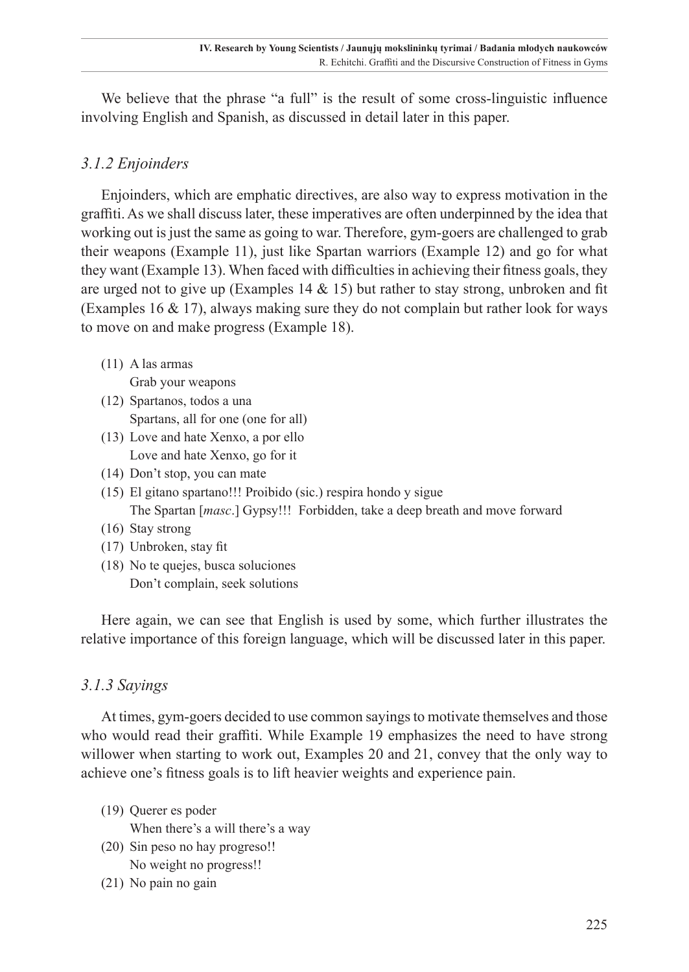We believe that the phrase "a full" is the result of some cross-linguistic influence involving English and Spanish, as discussed in detail later in this paper.

## *3.1.2 Enjoinders*

Enjoinders, which are emphatic directives, are also way to express motivation in the graffiti. As we shall discuss later, these imperatives are often underpinned by the idea that working out is just the same as going to war. Therefore, gym-goers are challenged to grab their weapons (Example 11), just like Spartan warriors (Example 12) and go for what they want (Example 13). When faced with difficulties in achieving their fitness goals, they are urged not to give up (Examples  $14 \& 15$ ) but rather to stay strong, unbroken and fit (Examples 16 & 17), always making sure they do not complain but rather look for ways to move on and make progress (Example 18).

- (11) A las armas
- Grab your weapons (12) Spartanos, todos a una Spartans, all for one (one for all)
- (13) Love and hate Xenxo, a por ello Love and hate Xenxo, go for it
- (14) Don't stop, you can mate
- (15) El gitano spartano!!! Proibido (sic.) respira hondo y sigue The Spartan [*masc*.] Gypsy!!! Forbidden, take a deep breath and move forward
- (16) Stay strong
- (17) Unbroken, stay fit
- (18) No te quejes, busca soluciones Don't complain, seek solutions

Here again, we can see that English is used by some, which further illustrates the relative importance of this foreign language, which will be discussed later in this paper.

## *3.1.3 Sayings*

At times, gym-goers decided to use common sayings to motivate themselves and those who would read their graffiti. While Example 19 emphasizes the need to have strong willower when starting to work out, Examples 20 and 21, convey that the only way to achieve one's fitness goals is to lift heavier weights and experience pain.

- (19) Querer es poder
	- When there's a will there's a way
- (20) Sin peso no hay progreso!! No weight no progress!!
- (21) No pain no gain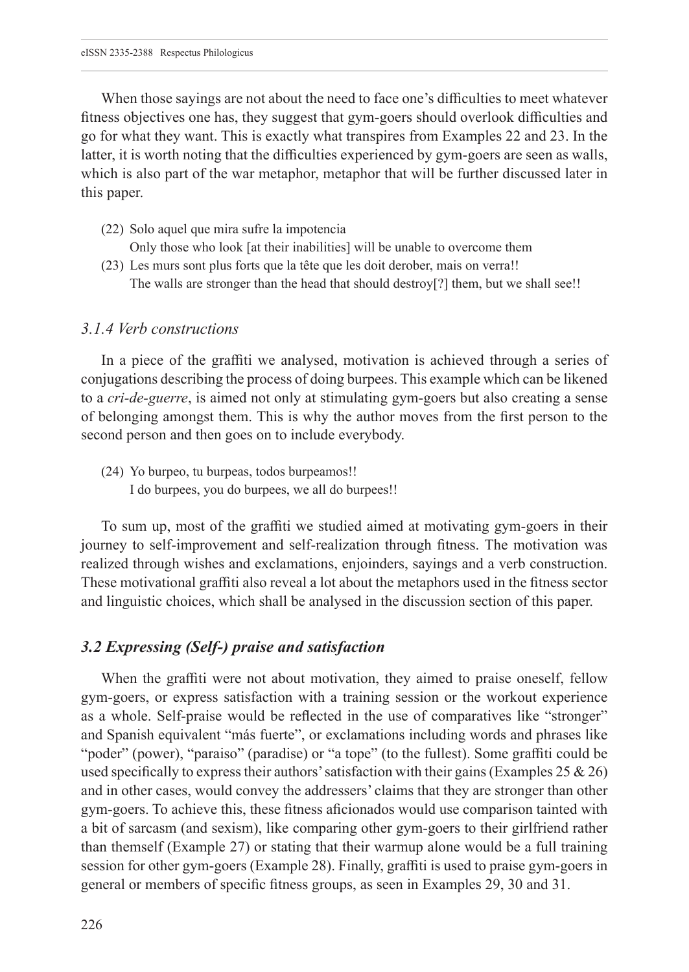When those sayings are not about the need to face one's difficulties to meet whatever fitness objectives one has, they suggest that gym-goers should overlook difficulties and go for what they want. This is exactly what transpires from Examples 22 and 23. In the latter, it is worth noting that the difficulties experienced by gym-goers are seen as walls, which is also part of the war metaphor, metaphor that will be further discussed later in this paper.

- (22) Solo aquel que mira sufre la impotencia
	- Only those who look [at their inabilities] will be unable to overcome them
- (23) Les murs sont plus forts que la tête que les doit derober, mais on verra!! The walls are stronger than the head that should destroy[?] them, but we shall see!!

#### *3.1.4 Verb constructions*

In a piece of the graffiti we analysed, motivation is achieved through a series of conjugations describing the process of doing burpees. This example which can be likened to a *cri-de-guerre*, is aimed not only at stimulating gym-goers but also creating a sense of belonging amongst them. This is why the author moves from the first person to the second person and then goes on to include everybody.

(24) Yo burpeo, tu burpeas, todos burpeamos!! I do burpees, you do burpees, we all do burpees!!

To sum up, most of the graffiti we studied aimed at motivating gym-goers in their journey to self-improvement and self-realization through fitness. The motivation was realized through wishes and exclamations, enjoinders, sayings and a verb construction. These motivational graffiti also reveal a lot about the metaphors used in the fitness sector and linguistic choices, which shall be analysed in the discussion section of this paper.

#### *3.2 Expressing (Self-) praise and satisfaction*

When the graffiti were not about motivation, they aimed to praise oneself, fellow gym-goers, or express satisfaction with a training session or the workout experience as a whole. Self-praise would be reflected in the use of comparatives like "stronger" and Spanish equivalent "más fuerte", or exclamations including words and phrases like "poder" (power), "paraiso" (paradise) or "a tope" (to the fullest). Some graffiti could be used specifically to express their authors' satisfaction with their gains (Examples 25  $\&$  26) and in other cases, would convey the addressers' claims that they are stronger than other gym-goers. To achieve this, these fitness aficionados would use comparison tainted with a bit of sarcasm (and sexism), like comparing other gym-goers to their girlfriend rather than themself (Example 27) or stating that their warmup alone would be a full training session for other gym-goers (Example 28). Finally, graffiti is used to praise gym-goers in general or members of specific fitness groups, as seen in Examples 29, 30 and 31.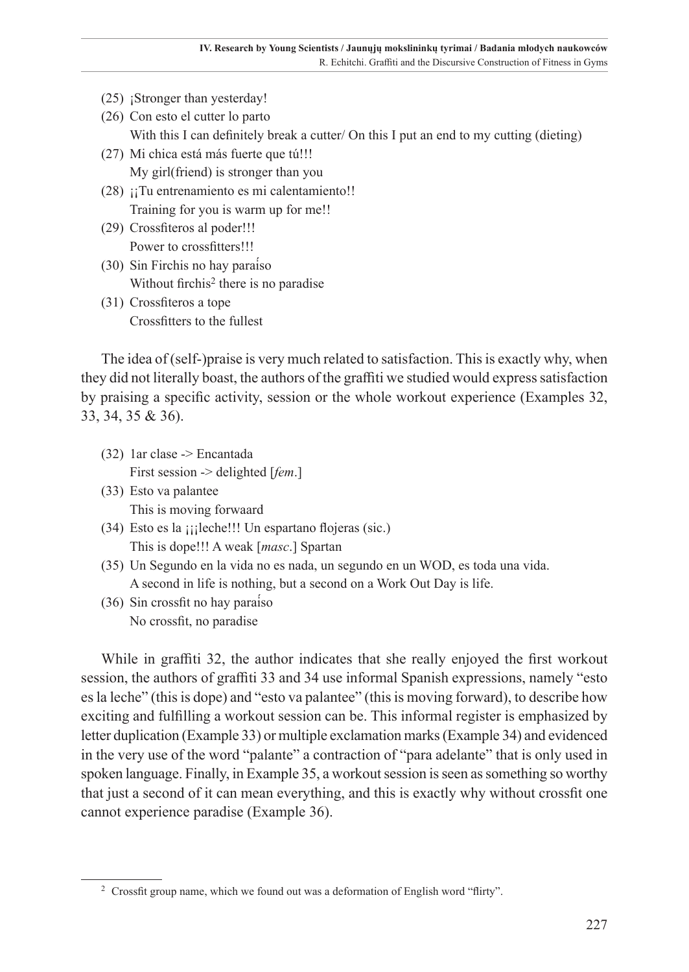- (25) ¡Stronger than yesterday!
- (26) Con esto el cutter lo parto With this I can definitely break a cutter/ On this I put an end to my cutting (dieting)
- (27) Mi chica está más fuerte que tú!!! My girl(friend) is stronger than you
- $(28)$  ; Tu entrenamiento es mi calentamiento!! Training for you is warm up for me!!
- (29) Crossfiteros al poder!!! Power to crossfitters!!!
- (30) Sin Firchis no hay paraíso Without firchis<sup>2</sup> there is no paradise
- (31) Crossfiteros a tope Crossfitters to the fullest

The idea of (self-)praise is very much related to satisfaction. This is exactly why, when they did not literally boast, the authors of the graffiti we studied would express satisfaction by praising a specific activity, session or the whole workout experience (Examples 32, 33, 34, 35 & 36).

- (32) 1ar clase -> Encantada First session -> delighted [*fem*.]
- (33) Esto va palantee This is moving forwaard
- (34) Esto es la ¡¡¡leche!!! Un espartano flojeras (sic.) This is dope!!! A weak [*masc*.] Spartan
- (35) Un Segundo en la vida no es nada, un segundo en un WOD, es toda una vida. A second in life is nothing, but a second on a Work Out Day is life.
- (36) Sin crossfit no hay paraíso No crossfit, no paradise

While in graffiti 32, the author indicates that she really enjoyed the first workout session, the authors of graffiti 33 and 34 use informal Spanish expressions, namely "esto es la leche" (this is dope) and "esto va palantee" (this is moving forward), to describe how exciting and fulfilling a workout session can be. This informal register is emphasized by letter duplication (Example 33) or multiple exclamation marks (Example 34) and evidenced in the very use of the word "palante" a contraction of "para adelante" that is only used in spoken language. Finally, in Example 35, a workout session is seen as something so worthy that just a second of it can mean everything, and this is exactly why without crossfit one cannot experience paradise (Example 36).

<sup>2</sup> Crossfit group name, which we found out was a deformation of English word "flirty".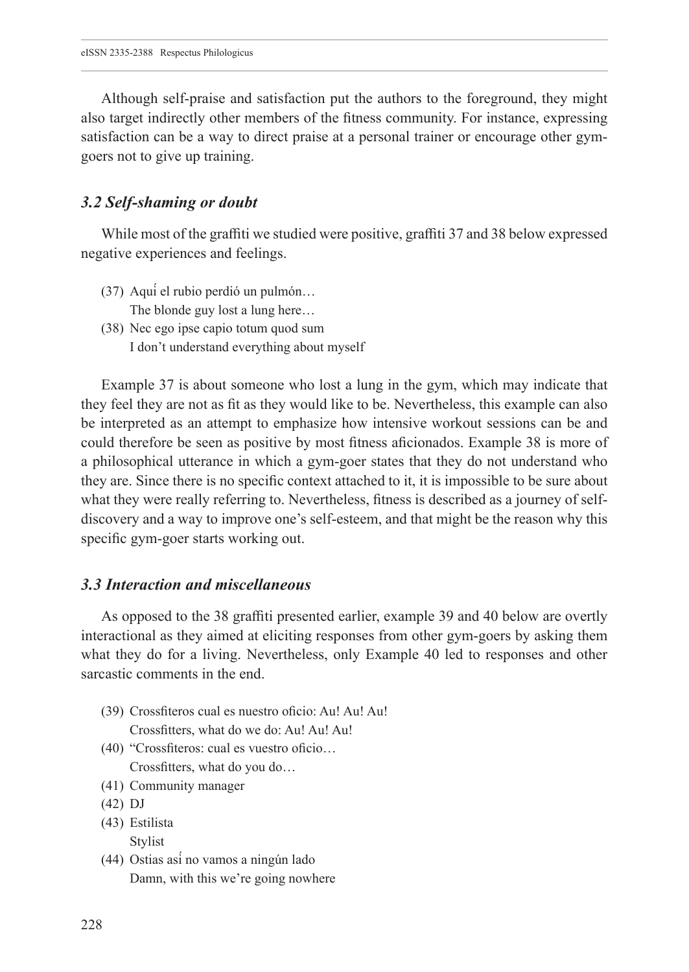Although self-praise and satisfaction put the authors to the foreground, they might also target indirectly other members of the fitness community. For instance, expressing satisfaction can be a way to direct praise at a personal trainer or encourage other gymgoers not to give up training.

#### *3.2 Self-shaming or doubt*

While most of the graffiti we studied were positive, graffiti 37 and 38 below expressed negative experiences and feelings.

- (37) Aquí el rubio perdió un pulmón… The blonde guy lost a lung here…
- (38) Nec ego ipse capio totum quod sum I don't understand everything about myself

Example 37 is about someone who lost a lung in the gym, which may indicate that they feel they are not as fit as they would like to be. Nevertheless, this example can also be interpreted as an attempt to emphasize how intensive workout sessions can be and could therefore be seen as positive by most fitness aficionados. Example 38 is more of a philosophical utterance in which a gym-goer states that they do not understand who they are. Since there is no specific context attached to it, it is impossible to be sure about what they were really referring to. Nevertheless, fitness is described as a journey of selfdiscovery and a way to improve one's self-esteem, and that might be the reason why this specific gym-goer starts working out.

#### *3.3 Interaction and miscellaneous*

As opposed to the 38 graffiti presented earlier, example 39 and 40 below are overtly interactional as they aimed at eliciting responses from other gym-goers by asking them what they do for a living. Nevertheless, only Example 40 led to responses and other sarcastic comments in the end.

- (39) Crossfiteros cual es nuestro oficio: Au! Au! Au! Crossfitters, what do we do: Au! Au! Au!
- (40) "Crossfiteros: cual es vuestro oficio… Crossfitters, what do you do…
- (41) Community manager
- (42) DJ
- (43) Estilista Stylist
- (44) Ostias así no vamos a ningún lado Damn, with this we're going nowhere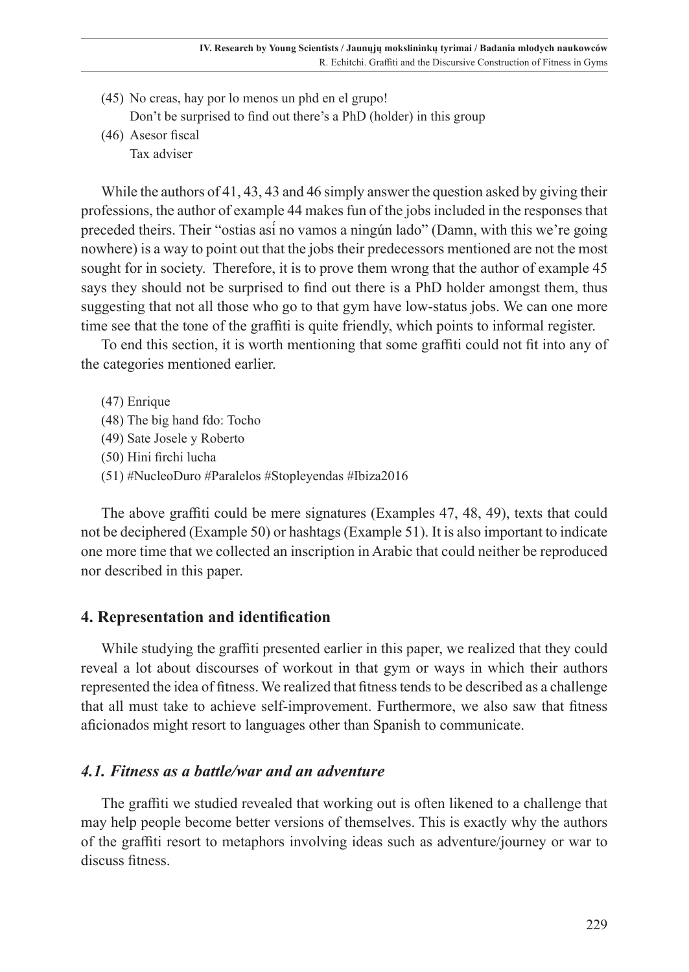- (45) No creas, hay por lo menos un phd en el grupo! Don't be surprised to find out there's a PhD (holder) in this group
- (46) Asesor fiscal Tax adviser

While the authors of 41, 43, 43 and 46 simply answer the question asked by giving their professions, the author of example 44 makes fun of the jobs included in the responses that preceded theirs. Their "ostias así no vamos a ningún lado" (Damn, with this we're going nowhere) is a way to point out that the jobs their predecessors mentioned are not the most sought for in society. Therefore, it is to prove them wrong that the author of example 45 says they should not be surprised to find out there is a PhD holder amongst them, thus suggesting that not all those who go to that gym have low-status jobs. We can one more time see that the tone of the graffiti is quite friendly, which points to informal register.

To end this section, it is worth mentioning that some graffiti could not fit into any of the categories mentioned earlier.

- (47) Enrique
- (48) The big hand fdo: Tocho
- (49) Sate Josele y Roberto
- (50) Hini firchi lucha
- (51) #NucleoDuro #Paralelos #Stopleyendas #Ibiza2016

The above graffiti could be mere signatures (Examples 47, 48, 49), texts that could not be deciphered (Example 50) or hashtags (Example 51). It is also important to indicate one more time that we collected an inscription in Arabic that could neither be reproduced nor described in this paper.

## **4. Representation and identification**

While studying the graffiti presented earlier in this paper, we realized that they could reveal a lot about discourses of workout in that gym or ways in which their authors represented the idea of fitness. We realized that fitness tends to be described as a challenge that all must take to achieve self-improvement. Furthermore, we also saw that fitness aficionados might resort to languages other than Spanish to communicate.

## *4.1. Fitness as a battle/war and an adventure*

The graffiti we studied revealed that working out is often likened to a challenge that may help people become better versions of themselves. This is exactly why the authors of the graffiti resort to metaphors involving ideas such as adventure/journey or war to discuss fitness.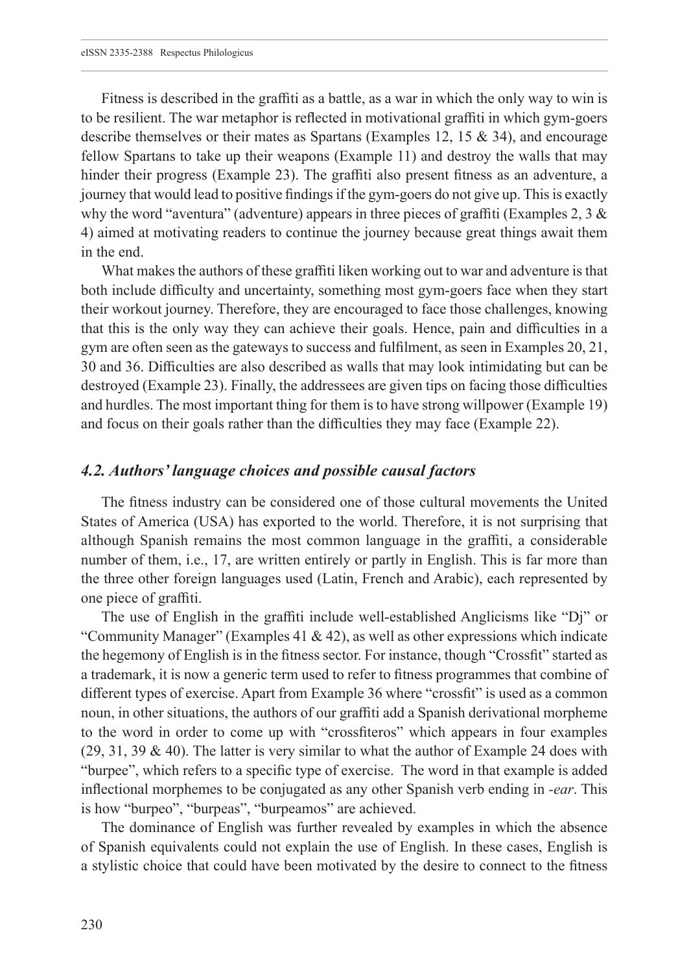Fitness is described in the graffiti as a battle, as a war in which the only way to win is to be resilient. The war metaphor is reflected in motivational graffiti in which gym-goers describe themselves or their mates as Spartans (Examples 12, 15 & 34), and encourage fellow Spartans to take up their weapons (Example 11) and destroy the walls that may hinder their progress (Example 23). The graffiti also present fitness as an adventure, a journey that would lead to positive findings if the gym-goers do not give up. This is exactly why the word "aventura" (adventure) appears in three pieces of graffiti (Examples 2,  $3 \&$ 4) aimed at motivating readers to continue the journey because great things await them in the end.

What makes the authors of these graffiti liken working out to war and adventure is that both include difficulty and uncertainty, something most gym-goers face when they start their workout journey. Therefore, they are encouraged to face those challenges, knowing that this is the only way they can achieve their goals. Hence, pain and difficulties in a gym are often seen as the gateways to success and fulfilment, as seen in Examples 20, 21, 30 and 36. Difficulties are also described as walls that may look intimidating but can be destroyed (Example 23). Finally, the addressees are given tips on facing those difficulties and hurdles. The most important thing for them is to have strong willpower (Example 19) and focus on their goals rather than the difficulties they may face (Example 22).

### *4.2. Authors' language choices and possible causal factors*

The fitness industry can be considered one of those cultural movements the United States of America (USA) has exported to the world. Therefore, it is not surprising that although Spanish remains the most common language in the graffiti, a considerable number of them, i.e., 17, are written entirely or partly in English. This is far more than the three other foreign languages used (Latin, French and Arabic), each represented by one piece of graffiti.

The use of English in the graffiti include well-established Anglicisms like "Dj" or "Community Manager" (Examples 41 & 42), as well as other expressions which indicate the hegemony of English is in the fitness sector. For instance, though "Crossfit" started as a trademark, it is now a generic term used to refer to fitness programmes that combine of different types of exercise. Apart from Example 36 where "crossfit" is used as a common noun, in other situations, the authors of our graffiti add a Spanish derivational morpheme to the word in order to come up with "crossfiteros" which appears in four examples  $(29, 31, 39 \& 40)$ . The latter is very similar to what the author of Example 24 does with "burpee", which refers to a specific type of exercise. The word in that example is added inflectional morphemes to be conjugated as any other Spanish verb ending in *-ear*. This is how "burpeo", "burpeas", "burpeamos" are achieved.

The dominance of English was further revealed by examples in which the absence of Spanish equivalents could not explain the use of English. In these cases, English is a stylistic choice that could have been motivated by the desire to connect to the fitness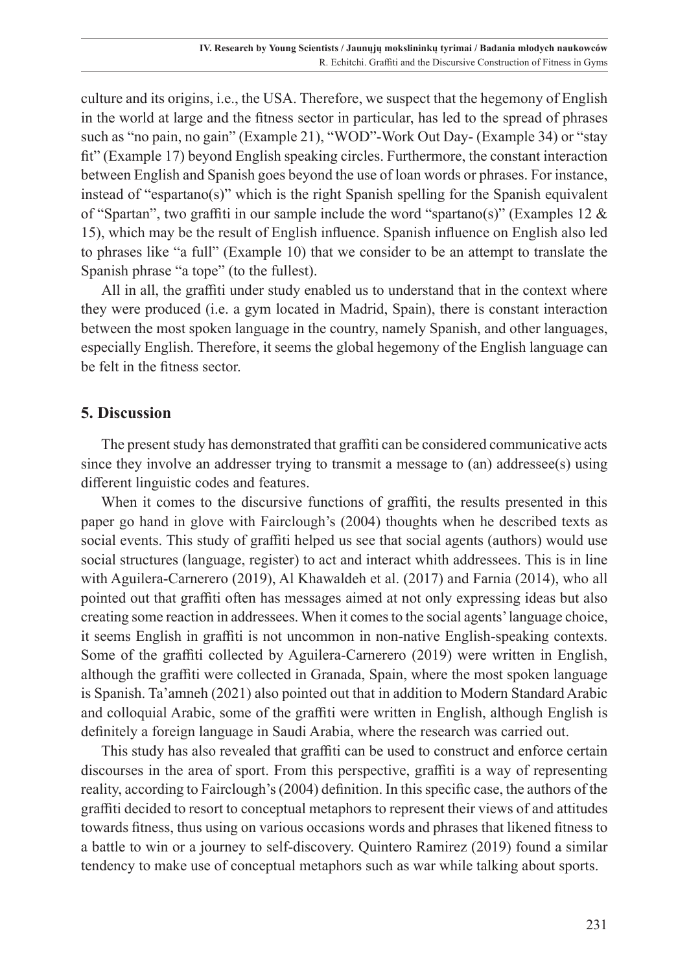culture and its origins, i.e., the USA. Therefore, we suspect that the hegemony of English in the world at large and the fitness sector in particular, has led to the spread of phrases such as "no pain, no gain" (Example 21), "WOD"-Work Out Day- (Example 34) or "stay fit" (Example 17) beyond English speaking circles. Furthermore, the constant interaction between English and Spanish goes beyond the use of loan words or phrases. For instance, instead of "espartano(s)" which is the right Spanish spelling for the Spanish equivalent of "Spartan", two graffiti in our sample include the word "spartano(s)" (Examples 12  $\&$ 15), which may be the result of English influence. Spanish influence on English also led to phrases like "a full" (Example 10) that we consider to be an attempt to translate the Spanish phrase "a tope" (to the fullest).

All in all, the graffiti under study enabled us to understand that in the context where they were produced (i.e. a gym located in Madrid, Spain), there is constant interaction between the most spoken language in the country, namely Spanish, and other languages, especially English. Therefore, it seems the global hegemony of the English language can be felt in the fitness sector.

### **5. Discussion**

The present study has demonstrated that graffiti can be considered communicative acts since they involve an addresser trying to transmit a message to (an) addressee(s) using different linguistic codes and features.

When it comes to the discursive functions of graffiti, the results presented in this paper go hand in glove with Fairclough's (2004) thoughts when he described texts as social events. This study of graffiti helped us see that social agents (authors) would use social structures (language, register) to act and interact whith addressees. This is in line with Aguilera-Carnerero (2019), Al Khawaldeh et al. (2017) and Farnia (2014), who all pointed out that graffiti often has messages aimed at not only expressing ideas but also creating some reaction in addressees. When it comes to the social agents' language choice, it seems English in graffiti is not uncommon in non-native English-speaking contexts. Some of the graffiti collected by Aguilera-Carnerero (2019) were written in English, although the graffiti were collected in Granada, Spain, where the most spoken language is Spanish. Ta'amneh (2021) also pointed out that in addition to Modern Standard Arabic and colloquial Arabic, some of the graffiti were written in English, although English is definitely a foreign language in Saudi Arabia, where the research was carried out.

This study has also revealed that graffiti can be used to construct and enforce certain discourses in the area of sport. From this perspective, graffiti is a way of representing reality, according to Fairclough's (2004) definition. In this specific case, the authors of the graffiti decided to resort to conceptual metaphors to represent their views of and attitudes towards fitness, thus using on various occasions words and phrases that likened fitness to a battle to win or a journey to self-discovery. Quintero Ramirez (2019) found a similar tendency to make use of conceptual metaphors such as war while talking about sports.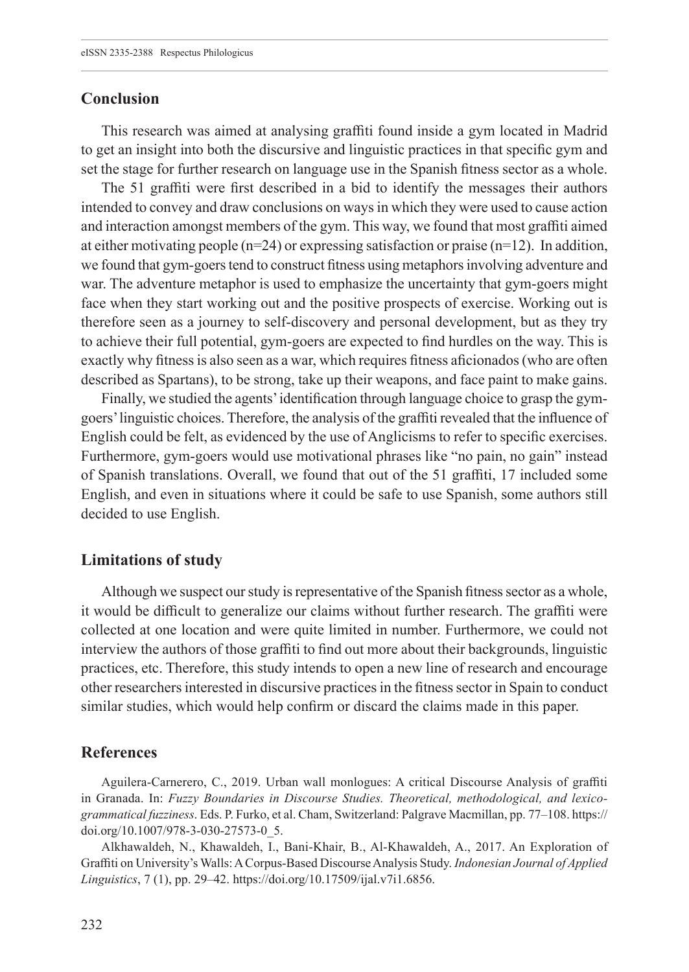## **Conclusion**

This research was aimed at analysing graffiti found inside a gym located in Madrid to get an insight into both the discursive and linguistic practices in that specific gym and set the stage for further research on language use in the Spanish fitness sector as a whole.

The 51 graffiti were first described in a bid to identify the messages their authors intended to convey and draw conclusions on ways in which they were used to cause action and interaction amongst members of the gym. This way, we found that most graffiti aimed at either motivating people ( $n=24$ ) or expressing satisfaction or praise ( $n=12$ ). In addition, we found that gym-goers tend to construct fitness using metaphors involving adventure and war. The adventure metaphor is used to emphasize the uncertainty that gym-goers might face when they start working out and the positive prospects of exercise. Working out is therefore seen as a journey to self-discovery and personal development, but as they try to achieve their full potential, gym-goers are expected to find hurdles on the way. This is exactly why fitness is also seen as a war, which requires fitness aficionados (who are often described as Spartans), to be strong, take up their weapons, and face paint to make gains.

Finally, we studied the agents' identification through language choice to grasp the gymgoers' linguistic choices. Therefore, the analysis of the graffiti revealed that the influence of English could be felt, as evidenced by the use of Anglicisms to refer to specific exercises. Furthermore, gym-goers would use motivational phrases like "no pain, no gain" instead of Spanish translations. Overall, we found that out of the 51 graffiti, 17 included some English, and even in situations where it could be safe to use Spanish, some authors still decided to use English.

#### **Limitations of study**

Although we suspect our study is representative of the Spanish fitness sector as a whole, it would be difficult to generalize our claims without further research. The graffiti were collected at one location and were quite limited in number. Furthermore, we could not interview the authors of those graffiti to find out more about their backgrounds, linguistic practices, etc. Therefore, this study intends to open a new line of research and encourage other researchers interested in discursive practices in the fitness sector in Spain to conduct similar studies, which would help confirm or discard the claims made in this paper.

#### **References**

Aguilera-Carnerero, C., 2019. Urban wall monlogues: A critical Discourse Analysis of graffiti in Granada. In: *Fuzzy Boundaries in Discourse Studies. Theoretical, methodological, and lexicogrammatical fuzziness*. Eds. P. Furko, et al. Cham, Switzerland: Palgrave Macmillan, pp. 77–108. https:// doi.org/10.1007/978-3-030-27573-0\_5.

Alkhawaldeh, N., Khawaldeh, I., Bani-Khair, B., Al-Khawaldeh, A., 2017. An Exploration of Graffiti on University's Walls: A Corpus-Based Discourse Analysis Study. *Indonesian Journal of Applied Linguistics*, 7 (1), pp. 29–42. <https://doi.org/10.17509/ijal.v7i1.6856>.